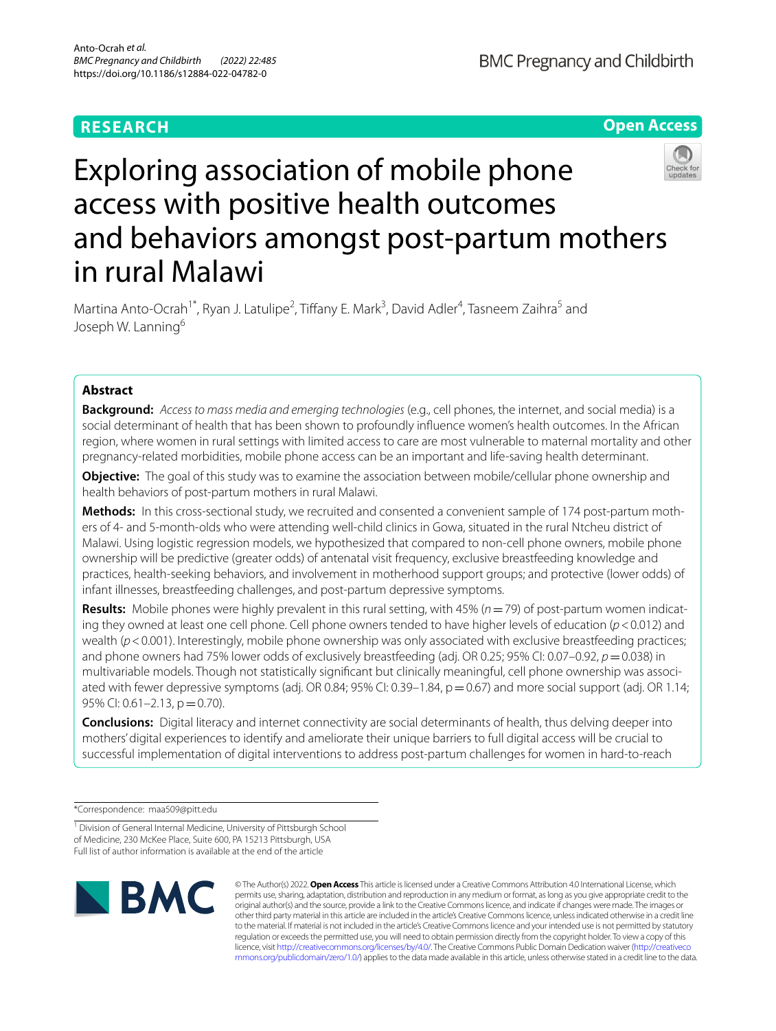# **RESEARCH**

**BMC Pregnancy and Childbirth** 

**Open Access**

# Exploring association of mobile phone access with positive health outcomes and behaviors amongst post-partum mothers in rural Malawi

Martina Anto-Ocrah<sup>1\*</sup>, Ryan J. Latulipe<sup>2</sup>, Tiffany E. Mark<sup>3</sup>, David Adler<sup>4</sup>, Tasneem Zaihra<sup>5</sup> and Joseph W. Lanning<sup>6</sup>

# **Abstract**

**Background:** *Access to mass media and emerging technologies* (e.g., cell phones, the internet, and social media) is a social determinant of health that has been shown to profoundly infuence women's health outcomes. In the African region, where women in rural settings with limited access to care are most vulnerable to maternal mortality and other pregnancy-related morbidities, mobile phone access can be an important and life-saving health determinant.

**Objective:** The goal of this study was to examine the association between mobile/cellular phone ownership and health behaviors of post-partum mothers in rural Malawi.

Methods: In this cross-sectional study, we recruited and consented a convenient sample of 174 post-partum mothers of 4- and 5-month-olds who were attending well-child clinics in Gowa, situated in the rural Ntcheu district of Malawi. Using logistic regression models, we hypothesized that compared to non-cell phone owners, mobile phone ownership will be predictive (greater odds) of antenatal visit frequency, exclusive breastfeeding knowledge and practices, health-seeking behaviors, and involvement in motherhood support groups; and protective (lower odds) of infant illnesses, breastfeeding challenges, and post-partum depressive symptoms.

**Results:** Mobile phones were highly prevalent in this rural setting, with 45% ( $n=79$ ) of post-partum women indicating they owned at least one cell phone. Cell phone owners tended to have higher levels of education (*p* < 0.012) and wealth ( $p$ <0.001). Interestingly, mobile phone ownership was only associated with exclusive breastfeeding practices; and phone owners had 75% lower odds of exclusively breastfeeding (adj. OR 0.25; 95% CI: 0.07–0.92, *p*=0.038) in multivariable models. Though not statistically significant but clinically meaningful, cell phone ownership was associated with fewer depressive symptoms (adj. OR 0.84; 95% CI: 0.39–1.84,  $p = 0.67$ ) and more social support (adj. OR 1.14; 95% CI:  $0.61 - 2.13$ ,  $p = 0.70$ ).

**Conclusions:** Digital literacy and internet connectivity are social determinants of health, thus delving deeper into mothers' digital experiences to identify and ameliorate their unique barriers to full digital access will be crucial to successful implementation of digital interventions to address post-partum challenges for women in hard-to-reach

\*Correspondence: maa509@pitt.edu

<sup>&</sup>lt;sup>1</sup> Division of General Internal Medicine, University of Pittsburgh School of Medicine, 230 McKee Place, Suite 600, PA 15213 Pittsburgh, USA Full list of author information is available at the end of the article



© The Author(s) 2022. **Open Access** This article is licensed under a Creative Commons Attribution 4.0 International License, which permits use, sharing, adaptation, distribution and reproduction in any medium or format, as long as you give appropriate credit to the original author(s) and the source, provide a link to the Creative Commons licence, and indicate if changes were made. The images or other third party material in this article are included in the article's Creative Commons licence, unless indicated otherwise in a credit line to the material. If material is not included in the article's Creative Commons licence and your intended use is not permitted by statutory regulation or exceeds the permitted use, you will need to obtain permission directly from the copyright holder. To view a copy of this licence, visit [http://creativecommons.org/licenses/by/4.0/.](http://creativecommons.org/licenses/by/4.0/) The Creative Commons Public Domain Dedication waiver ([http://creativeco](http://creativecommons.org/publicdomain/zero/1.0/) [mmons.org/publicdomain/zero/1.0/](http://creativecommons.org/publicdomain/zero/1.0/)) applies to the data made available in this article, unless otherwise stated in a credit line to the data.

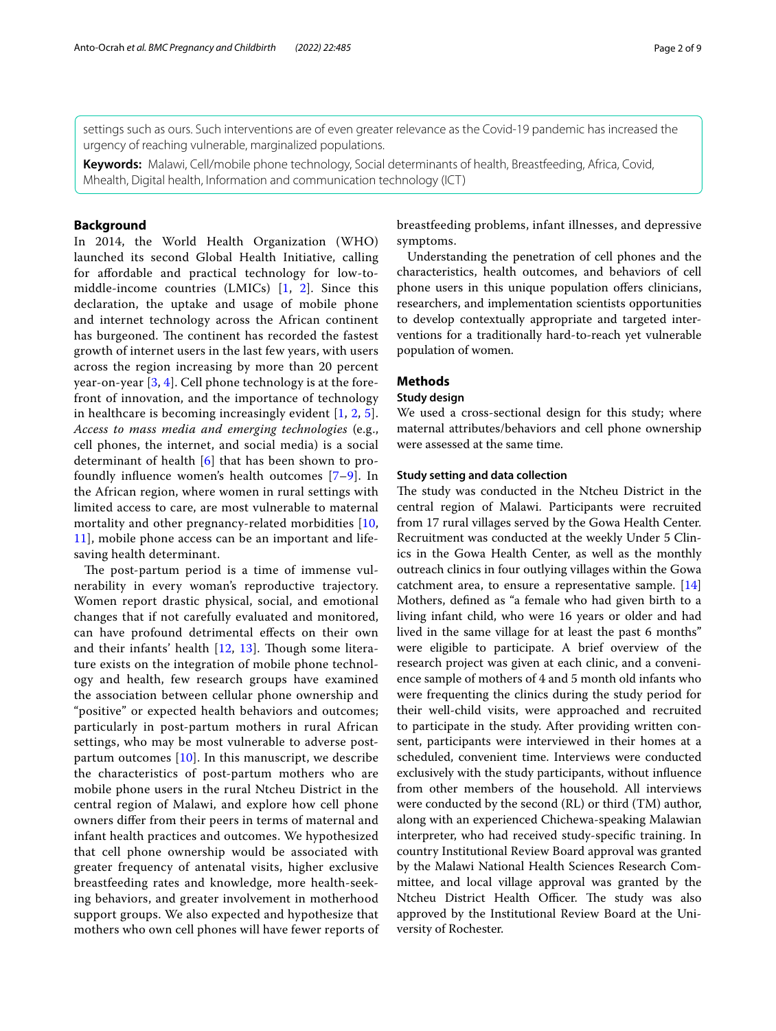settings such as ours. Such interventions are of even greater relevance as the Covid-19 pandemic has increased the urgency of reaching vulnerable, marginalized populations.

**Keywords:** Malawi, Cell/mobile phone technology, Social determinants of health, Breastfeeding, Africa, Covid, Mhealth, Digital health, Information and communication technology (ICT)

# **Background**

In 2014, the World Health Organization (WHO) launched its second Global Health Initiative, calling for afordable and practical technology for low-tomiddle-income countries (LMICs) [[1,](#page-7-0) [2](#page-7-1)]. Since this declaration, the uptake and usage of mobile phone and internet technology across the African continent has burgeoned. The continent has recorded the fastest growth of internet users in the last few years, with users across the region increasing by more than 20 percent year-on-year [[3](#page-7-2), [4\]](#page-7-3). Cell phone technology is at the forefront of innovation, and the importance of technology in healthcare is becoming increasingly evident  $[1, 2, 5]$  $[1, 2, 5]$  $[1, 2, 5]$  $[1, 2, 5]$  $[1, 2, 5]$ . *Access to mass media and emerging technologies* (e.g., cell phones, the internet, and social media) is a social determinant of health [[6\]](#page-7-5) that has been shown to profoundly infuence women's health outcomes [\[7–](#page-7-6)[9\]](#page-7-7). In the African region, where women in rural settings with limited access to care, are most vulnerable to maternal mortality and other pregnancy-related morbidities [\[10](#page-7-8), [11\]](#page-7-9), mobile phone access can be an important and lifesaving health determinant.

The post-partum period is a time of immense vulnerability in every woman's reproductive trajectory. Women report drastic physical, social, and emotional changes that if not carefully evaluated and monitored, can have profound detrimental efects on their own and their infants' health  $[12, 13]$  $[12, 13]$  $[12, 13]$  $[12, 13]$  $[12, 13]$ . Though some literature exists on the integration of mobile phone technology and health, few research groups have examined the association between cellular phone ownership and "positive" or expected health behaviors and outcomes; particularly in post-partum mothers in rural African settings, who may be most vulnerable to adverse postpartum outcomes  $[10]$  $[10]$ . In this manuscript, we describe the characteristics of post-partum mothers who are mobile phone users in the rural Ntcheu District in the central region of Malawi, and explore how cell phone owners difer from their peers in terms of maternal and infant health practices and outcomes. We hypothesized that cell phone ownership would be associated with greater frequency of antenatal visits, higher exclusive breastfeeding rates and knowledge, more health-seeking behaviors, and greater involvement in motherhood support groups. We also expected and hypothesize that mothers who own cell phones will have fewer reports of breastfeeding problems, infant illnesses, and depressive symptoms.

Understanding the penetration of cell phones and the characteristics, health outcomes, and behaviors of cell phone users in this unique population offers clinicians, researchers, and implementation scientists opportunities to develop contextually appropriate and targeted interventions for a traditionally hard-to-reach yet vulnerable population of women.

# **Methods**

# **Study design**

We used a cross-sectional design for this study; where maternal attributes/behaviors and cell phone ownership were assessed at the same time.

### **Study setting and data collection**

The study was conducted in the Ntcheu District in the central region of Malawi. Participants were recruited from 17 rural villages served by the Gowa Health Center. Recruitment was conducted at the weekly Under 5 Clinics in the Gowa Health Center, as well as the monthly outreach clinics in four outlying villages within the Gowa catchment area, to ensure a representative sample. [[14](#page-7-12)] Mothers, defned as "a female who had given birth to a living infant child, who were 16 years or older and had lived in the same village for at least the past 6 months" were eligible to participate. A brief overview of the research project was given at each clinic, and a convenience sample of mothers of 4 and 5 month old infants who were frequenting the clinics during the study period for their well-child visits, were approached and recruited to participate in the study. After providing written consent, participants were interviewed in their homes at a scheduled, convenient time. Interviews were conducted exclusively with the study participants, without infuence from other members of the household. All interviews were conducted by the second (RL) or third (TM) author, along with an experienced Chichewa-speaking Malawian interpreter, who had received study-specifc training. In country Institutional Review Board approval was granted by the Malawi National Health Sciences Research Committee, and local village approval was granted by the Ntcheu District Health Officer. The study was also approved by the Institutional Review Board at the University of Rochester.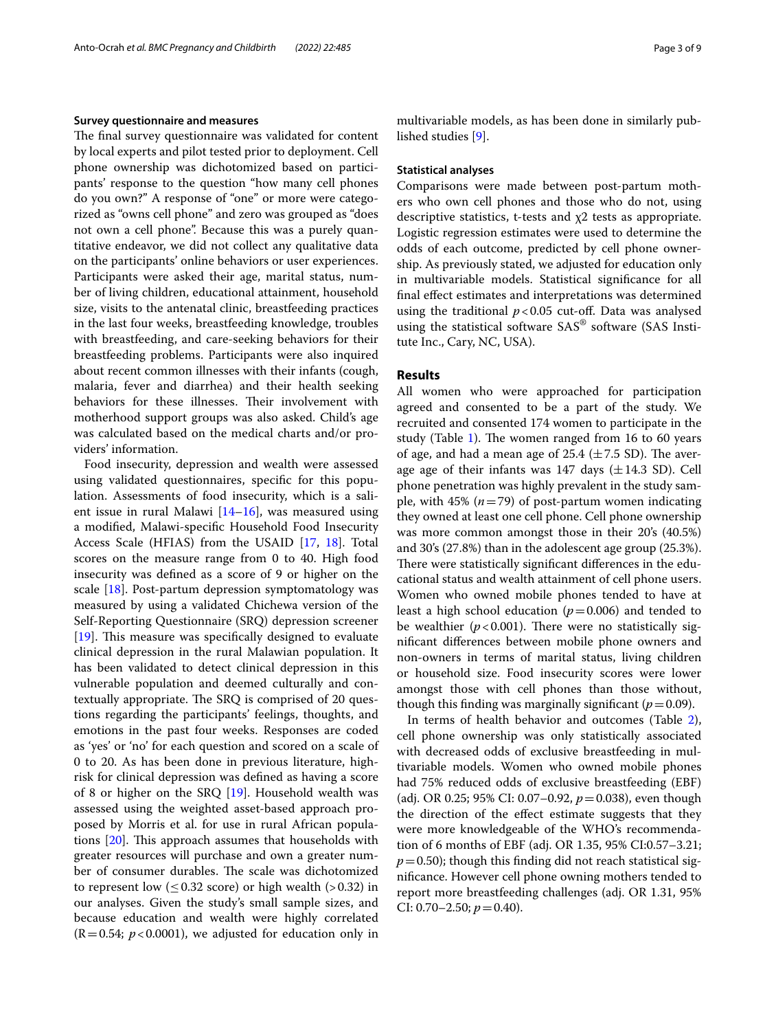#### **Survey questionnaire and measures**

The final survey questionnaire was validated for content by local experts and pilot tested prior to deployment. Cell phone ownership was dichotomized based on participants' response to the question "how many cell phones do you own?" A response of "one" or more were categorized as "owns cell phone" and zero was grouped as "does not own a cell phone". Because this was a purely quantitative endeavor, we did not collect any qualitative data on the participants' online behaviors or user experiences. Participants were asked their age, marital status, number of living children, educational attainment, household size, visits to the antenatal clinic, breastfeeding practices in the last four weeks, breastfeeding knowledge, troubles with breastfeeding, and care-seeking behaviors for their breastfeeding problems. Participants were also inquired about recent common illnesses with their infants (cough, malaria, fever and diarrhea) and their health seeking behaviors for these illnesses. Their involvement with motherhood support groups was also asked. Child's age was calculated based on the medical charts and/or providers' information.

Food insecurity, depression and wealth were assessed using validated questionnaires, specifc for this population. Assessments of food insecurity, which is a salient issue in rural Malawi  $[14–16]$  $[14–16]$  $[14–16]$  $[14–16]$ , was measured using a modifed, Malawi-specifc Household Food Insecurity Access Scale (HFIAS) from the USAID [\[17](#page-7-14), [18\]](#page-7-15). Total scores on the measure range from 0 to 40. High food insecurity was defned as a score of 9 or higher on the scale [[18\]](#page-7-15). Post-partum depression symptomatology was measured by using a validated Chichewa version of the Self-Reporting Questionnaire (SRQ) depression screener  $[19]$  $[19]$ . This measure was specifically designed to evaluate clinical depression in the rural Malawian population. It has been validated to detect clinical depression in this vulnerable population and deemed culturally and contextually appropriate. The SRQ is comprised of 20 questions regarding the participants' feelings, thoughts, and emotions in the past four weeks. Responses are coded as 'yes' or 'no' for each question and scored on a scale of 0 to 20. As has been done in previous literature, highrisk for clinical depression was defned as having a score of 8 or higher on the SRQ [[19\]](#page-8-0). Household wealth was assessed using the weighted asset-based approach proposed by Morris et al. for use in rural African populations  $[20]$  $[20]$ . This approach assumes that households with greater resources will purchase and own a greater number of consumer durables. The scale was dichotomized to represent low  $( \leq 0.32$  score) or high wealth  $( > 0.32)$  in our analyses. Given the study's small sample sizes, and because education and wealth were highly correlated  $(R=0.54; p<0.0001)$ , we adjusted for education only in multivariable models, as has been done in similarly published studies [\[9](#page-7-7)].

#### **Statistical analyses**

Comparisons were made between post-partum mothers who own cell phones and those who do not, using descriptive statistics, t-tests and χ2 tests as appropriate. Logistic regression estimates were used to determine the odds of each outcome, predicted by cell phone ownership. As previously stated, we adjusted for education only in multivariable models. Statistical signifcance for all fnal efect estimates and interpretations was determined using the traditional  $p < 0.05$  cut-off. Data was analysed using the statistical software SAS® software (SAS Institute Inc., Cary, NC, USA).

# **Results**

All women who were approached for participation agreed and consented to be a part of the study. We recruited and consented 174 women to participate in the study (Table [1\)](#page-3-0). The women ranged from 16 to 60 years of age, and had a mean age of  $25.4 \ (\pm 7.5 \text{ SD})$ . The average age of their infants was 147 days  $(\pm 14.3 \text{ SD})$ . Cell phone penetration was highly prevalent in the study sample, with 45%  $(n=79)$  of post-partum women indicating they owned at least one cell phone. Cell phone ownership was more common amongst those in their 20's (40.5%) and 30's (27.8%) than in the adolescent age group (25.3%). There were statistically significant differences in the educational status and wealth attainment of cell phone users. Women who owned mobile phones tended to have at least a high school education  $(p=0.006)$  and tended to be wealthier  $(p<0.001)$ . There were no statistically signifcant diferences between mobile phone owners and non-owners in terms of marital status, living children or household size. Food insecurity scores were lower amongst those with cell phones than those without, though this finding was marginally significant ( $p=0.09$ ).

In terms of health behavior and outcomes (Table [2](#page-4-0)), cell phone ownership was only statistically associated with decreased odds of exclusive breastfeeding in multivariable models. Women who owned mobile phones had 75% reduced odds of exclusive breastfeeding (EBF) (adj. OR 0.25; 95% CI: 0.07–0.92, *p*=0.038), even though the direction of the efect estimate suggests that they were more knowledgeable of the WHO's recommendation of 6 months of EBF (adj. OR 1.35, 95% CI:0.57–3.21;  $p=0.50$ ; though this finding did not reach statistical signifcance. However cell phone owning mothers tended to report more breastfeeding challenges (adj. OR 1.31, 95% CI: 0.70–2.50;  $p = 0.40$ ).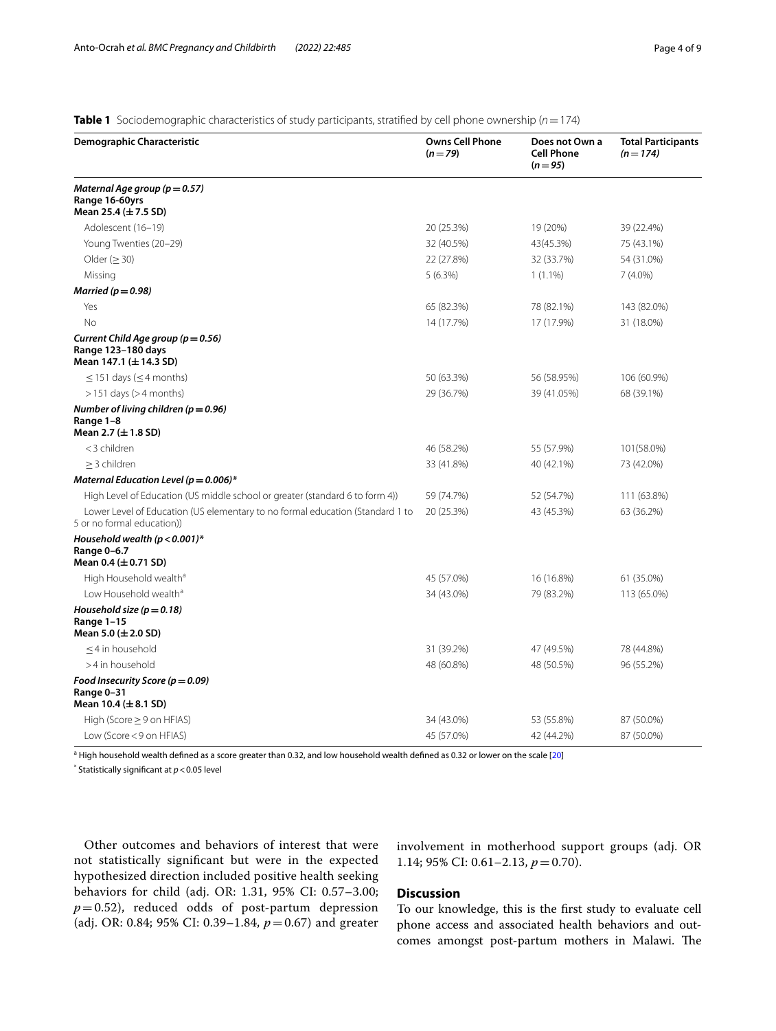<span id="page-3-0"></span>**Table 1** Sociodemographic characteristics of study participants, stratifed by cell phone ownership (*n*=174)

| Demographic Characteristic                                                                                  | <b>Owns Cell Phone</b><br>$(n=79)$ | Does not Own a<br><b>Cell Phone</b><br>$(n = 95)$ | <b>Total Participants</b><br>$(n = 174)$ |
|-------------------------------------------------------------------------------------------------------------|------------------------------------|---------------------------------------------------|------------------------------------------|
| Maternal Age group ( $p = 0.57$ )<br>Range 16-60yrs<br>Mean 25.4 $(\pm 7.5$ SD)                             |                                    |                                                   |                                          |
| Adolescent (16-19)                                                                                          | 20 (25.3%)                         | 19 (20%)                                          | 39 (22.4%)                               |
| Young Twenties (20-29)                                                                                      | 32 (40.5%)                         | 43(45.3%)                                         | 75 (43.1%)                               |
| Older ( $\geq$ 30)                                                                                          | 22 (27.8%)                         | 32 (33.7%)                                        | 54 (31.0%)                               |
| Missing                                                                                                     | 5(6.3%)                            | $1(1.1\%)$                                        | $7(4.0\%)$                               |
| Married ( $p = 0.98$ )                                                                                      |                                    |                                                   |                                          |
| Yes                                                                                                         | 65 (82.3%)                         | 78 (82.1%)                                        | 143 (82.0%)                              |
| No                                                                                                          | 14 (17.7%)                         | 17 (17.9%)                                        | 31 (18.0%)                               |
| Current Child Age group ( $p = 0.56$ )<br>Range 123-180 days<br>Mean 147.1 (± 14.3 SD)                      |                                    |                                                   |                                          |
| $\leq$ 151 days ( $\leq$ 4 months)                                                                          | 50 (63.3%)                         | 56 (58.95%)                                       | 106 (60.9%)                              |
| $>151$ days ( $>4$ months)                                                                                  | 29 (36.7%)                         | 39 (41.05%)                                       | 68 (39.1%)                               |
| Number of living children ( $p = 0.96$ )<br>Range 1-8<br>Mean 2.7 ( $\pm$ 1.8 SD)                           |                                    |                                                   |                                          |
| <3 children                                                                                                 | 46 (58.2%)                         | 55 (57.9%)                                        | 101(58.0%)                               |
| $>$ 3 children                                                                                              | 33 (41.8%)                         | 40 (42.1%)                                        | 73 (42.0%)                               |
| Maternal Education Level ( $p = 0.006$ )*                                                                   |                                    |                                                   |                                          |
| High Level of Education (US middle school or greater (standard 6 to form 4))                                | 59 (74.7%)                         | 52 (54.7%)                                        | 111 (63.8%)                              |
| Lower Level of Education (US elementary to no formal education (Standard 1 to<br>5 or no formal education)) | 20 (25.3%)                         | 43 (45.3%)                                        | 63 (36.2%)                               |
| Household wealth ( $p < 0.001$ )*<br>Range 0-6.7<br>Mean 0.4 ( $\pm$ 0.71 SD)                               |                                    |                                                   |                                          |
| High Household wealth <sup>a</sup>                                                                          | 45 (57.0%)                         | 16 (16.8%)                                        | 61 (35.0%)                               |
| Low Household wealth <sup>a</sup>                                                                           | 34 (43.0%)                         | 79 (83.2%)                                        | 113 (65.0%)                              |
| Household size ( $p = 0.18$ )<br>Range 1-15<br>Mean 5.0 ( $\pm$ 2.0 SD)                                     |                                    |                                                   |                                          |
| <4 in household                                                                                             | 31 (39.2%)                         | 47 (49.5%)                                        | 78 (44.8%)                               |
| >4 in household                                                                                             | 48 (60.8%)                         | 48 (50.5%)                                        | 96 (55.2%)                               |
| Food Insecurity Score ( $p = 0.09$ )<br>Range 0-31<br>Mean $10.4 \ (\pm 8.1 \ SD)$                          |                                    |                                                   |                                          |
| High (Score $\geq$ 9 on HFIAS)                                                                              | 34 (43.0%)                         | 53 (55.8%)                                        | 87 (50.0%)                               |
| Low (Score < 9 on HFIAS)                                                                                    | 45 (57.0%)                         | 42 (44.2%)                                        | 87 (50.0%)                               |

<sup>a</sup> High household wealth defined as a score greater than 0.32, and low household wealth defined as 0.32 or lower on the scale [[20\]](#page-8-1)

\* Statistically signifcant at *p*<0.05 level

Other outcomes and behaviors of interest that were not statistically signifcant but were in the expected hypothesized direction included positive health seeking behaviors for child (adj. OR: 1.31, 95% CI: 0.57–3.00;  $p=0.52$ ), reduced odds of post-partum depression (adj. OR: 0.84; 95% CI: 0.39–1.84, *p*=0.67) and greater involvement in motherhood support groups (adj. OR 1.14; 95% CI: 0.61–2.13, *p*=0.70).

## **Discussion**

To our knowledge, this is the frst study to evaluate cell phone access and associated health behaviors and outcomes amongst post-partum mothers in Malawi. The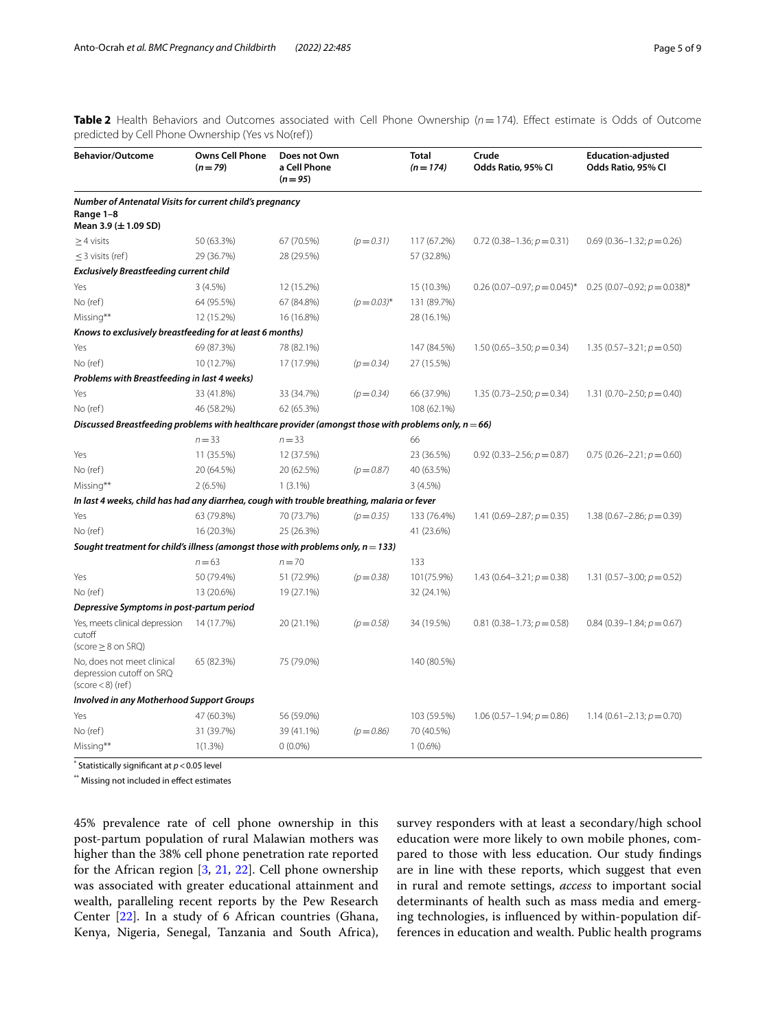<span id="page-4-0"></span>**Table 2** Health Behaviors and Outcomes associated with Cell Phone Ownership ( $n=174$ ). Effect estimate is Odds of Outcome predicted by Cell Phone Ownership (Yes vs No(ref))

| <b>Behavior/Outcome</b>                                                                                 | <b>Owns Cell Phone</b><br>$(n=79)$ | Does not Own<br>a Cell Phone<br>$(n = 95)$ |                  | <b>Total</b><br>$(n = 174)$ | Crude<br>Odds Ratio, 95% Cl     | <b>Education-adjusted</b><br>Odds Ratio, 95% CI                 |
|---------------------------------------------------------------------------------------------------------|------------------------------------|--------------------------------------------|------------------|-----------------------------|---------------------------------|-----------------------------------------------------------------|
| Number of Antenatal Visits for current child's pregnancy<br>Range 1-8<br>Mean 3.9 (± 1.09 SD)           |                                    |                                            |                  |                             |                                 |                                                                 |
| $\geq$ 4 visits                                                                                         | 50 (63.3%)                         | 67 (70.5%)                                 | $(p = 0.31)$     | 117 (67.2%)                 | $0.72$ (0.38-1.36; $p = 0.31$ ) | $0.69(0.36-1.32; p=0.26)$                                       |
| $\leq$ 3 visits (ref)                                                                                   | 29 (36.7%)                         | 28 (29.5%)                                 |                  | 57 (32.8%)                  |                                 |                                                                 |
| <b>Exclusively Breastfeeding current child</b>                                                          |                                    |                                            |                  |                             |                                 |                                                                 |
| Yes                                                                                                     | 3(4.5%)                            | 12 (15.2%)                                 |                  | 15 (10.3%)                  |                                 | 0.26 (0.07-0.97; $p = 0.045$ )* 0.25 (0.07-0.92; $p = 0.038$ )* |
| No (ref)                                                                                                | 64 (95.5%)                         | 67 (84.8%)                                 | $(p = 0.03)^{*}$ | 131 (89.7%)                 |                                 |                                                                 |
| Missing**                                                                                               | 12 (15.2%)                         | 16 (16.8%)                                 |                  | 28 (16.1%)                  |                                 |                                                                 |
| Knows to exclusively breastfeeding for at least 6 months)                                               |                                    |                                            |                  |                             |                                 |                                                                 |
| Yes                                                                                                     | 69 (87.3%)                         | 78 (82.1%)                                 |                  | 147 (84.5%)                 | 1.50 $(0.65 - 3.50; p = 0.34)$  | $1.35(0.57 - 3.21; p = 0.50)$                                   |
| No (ref)                                                                                                | 10 (12.7%)                         | 17 (17.9%)                                 | $(p = 0.34)$     | 27 (15.5%)                  |                                 |                                                                 |
| Problems with Breastfeeding in last 4 weeks)                                                            |                                    |                                            |                  |                             |                                 |                                                                 |
| Yes                                                                                                     | 33 (41.8%)                         | 33 (34.7%)                                 | $(p = 0.34)$     | 66 (37.9%)                  | 1.35 $(0.73 - 2.50; p = 0.34)$  | 1.31 $(0.70 - 2.50; p = 0.40)$                                  |
| No (ref)                                                                                                | 46 (58.2%)                         | 62 (65.3%)                                 |                  | 108 (62.1%)                 |                                 |                                                                 |
| Discussed Breastfeeding problems with healthcare provider (amongst those with problems only, $n = 66$ ) |                                    |                                            |                  |                             |                                 |                                                                 |
|                                                                                                         | $n = 33$                           | $n = 33$                                   |                  | 66                          |                                 |                                                                 |
| Yes                                                                                                     | 11 (35.5%)                         | 12 (37.5%)                                 |                  | 23 (36.5%)                  | $0.92$ (0.33-2.56; $p = 0.87$ ) | $0.75(0.26-2.21; p=0.60)$                                       |
| No (ref)                                                                                                | 20 (64.5%)                         | 20 (62.5%)                                 | $(p = 0.87)$     | 40 (63.5%)                  |                                 |                                                                 |
| Missing**                                                                                               | $2(6.5\%)$                         | $1(3.1\%)$                                 |                  | 3(4.5%)                     |                                 |                                                                 |
| In last 4 weeks, child has had any diarrhea, cough with trouble breathing, malaria or fever             |                                    |                                            |                  |                             |                                 |                                                                 |
| Yes                                                                                                     | 63 (79.8%)                         | 70 (73.7%)                                 | $(p = 0.35)$     | 133 (76.4%)                 | 1.41 $(0.69 - 2.87; p = 0.35)$  | 1.38 $(0.67 - 2.86; p = 0.39)$                                  |
| No (ref)                                                                                                | 16 (20.3%)                         | 25 (26.3%)                                 |                  | 41 (23.6%)                  |                                 |                                                                 |
| Sought treatment for child's illness (amongst those with problems only, $n = 133$ )                     |                                    |                                            |                  |                             |                                 |                                                                 |
|                                                                                                         | $n = 63$                           | $n = 70$                                   |                  | 133                         |                                 |                                                                 |
| Yes                                                                                                     | 50 (79.4%)                         | 51 (72.9%)                                 | $(p = 0.38)$     | 101(75.9%)                  | $1.43(0.64 - 3.21; p = 0.38)$   | 1.31 $(0.57-3.00; p = 0.52)$                                    |
| No (ref)                                                                                                | 13 (20.6%)                         | 19 (27.1%)                                 |                  | 32 (24.1%)                  |                                 |                                                                 |
| Depressive Symptoms in post-partum period                                                               |                                    |                                            |                  |                             |                                 |                                                                 |
| Yes, meets clinical depression<br>cutoff<br>$(score \geq 8$ on SRQ)                                     | 14 (17.7%)                         | 20 (21.1%)                                 | $(p = 0.58)$     | 34 (19.5%)                  | $0.81$ (0.38-1.73; $p = 0.58$ ) | $0.84$ (0.39-1.84; $p = 0.67$ )                                 |
| No, does not meet clinical<br>depression cutoff on SRQ<br>$(score < 8)$ (ref)                           | 65 (82.3%)                         | 75 (79.0%)                                 |                  | 140 (80.5%)                 |                                 |                                                                 |
| Involved in any Motherhood Support Groups                                                               |                                    |                                            |                  |                             |                                 |                                                                 |
| Yes                                                                                                     | 47 (60.3%)                         | 56 (59.0%)                                 |                  | 103 (59.5%)                 | $1.06(0.57-1.94; p=0.86)$       | 1.14 $(0.61 - 2.13; p = 0.70)$                                  |
| No (ref)                                                                                                | 31 (39.7%)                         | 39 (41.1%)                                 | $(p = 0.86)$     | 70 (40.5%)                  |                                 |                                                                 |
| Missing**                                                                                               | $1(1.3\%)$                         | $0(0.0\%)$                                 |                  | $1(0.6\%)$                  |                                 |                                                                 |

\* Statistically signifcant at *p*<0.05 level

\*\* Missing not included in efect estimates

45% prevalence rate of cell phone ownership in this post-partum population of rural Malawian mothers was higher than the 38% cell phone penetration rate reported for the African region [[3,](#page-7-2) [21](#page-8-2), [22](#page-8-3)]. Cell phone ownership was associated with greater educational attainment and wealth, paralleling recent reports by the Pew Research Center [[22\]](#page-8-3). In a study of 6 African countries (Ghana, Kenya, Nigeria, Senegal, Tanzania and South Africa), survey responders with at least a secondary/high school education were more likely to own mobile phones, compared to those with less education. Our study fndings are in line with these reports, which suggest that even in rural and remote settings, *access* to important social determinants of health such as mass media and emerging technologies, is infuenced by within-population differences in education and wealth. Public health programs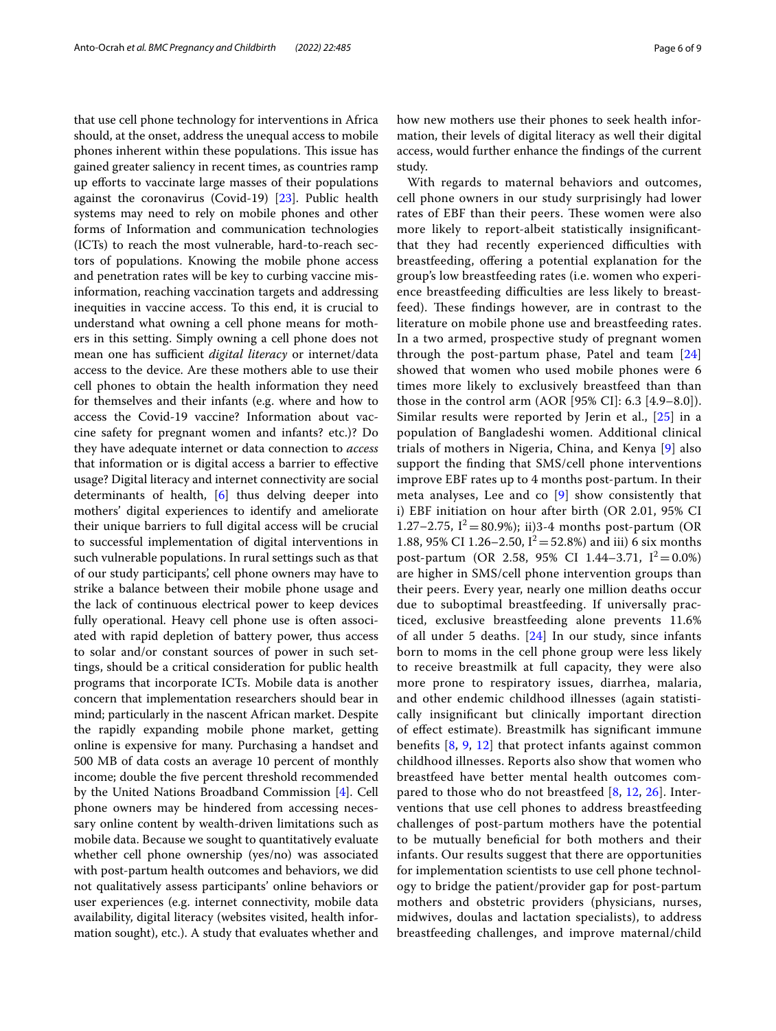that use cell phone technology for interventions in Africa should, at the onset, address the unequal access to mobile phones inherent within these populations. This issue has gained greater saliency in recent times, as countries ramp up efforts to vaccinate large masses of their populations against the coronavirus (Covid-19) [\[23](#page-8-4)]. Public health systems may need to rely on mobile phones and other forms of Information and communication technologies (ICTs) to reach the most vulnerable, hard-to-reach sectors of populations. Knowing the mobile phone access and penetration rates will be key to curbing vaccine misinformation, reaching vaccination targets and addressing inequities in vaccine access. To this end, it is crucial to understand what owning a cell phone means for mothers in this setting. Simply owning a cell phone does not mean one has sufficient *digital literacy* or internet/data access to the device. Are these mothers able to use their cell phones to obtain the health information they need for themselves and their infants (e.g. where and how to access the Covid-19 vaccine? Information about vaccine safety for pregnant women and infants? etc.)? Do they have adequate internet or data connection to *access* that information or is digital access a barrier to efective usage? Digital literacy and internet connectivity are social determinants of health, [[6\]](#page-7-5) thus delving deeper into mothers' digital experiences to identify and ameliorate their unique barriers to full digital access will be crucial to successful implementation of digital interventions in such vulnerable populations. In rural settings such as that of our study participants', cell phone owners may have to strike a balance between their mobile phone usage and the lack of continuous electrical power to keep devices fully operational. Heavy cell phone use is often associated with rapid depletion of battery power, thus access to solar and/or constant sources of power in such settings, should be a critical consideration for public health programs that incorporate ICTs. Mobile data is another concern that implementation researchers should bear in mind; particularly in the nascent African market. Despite the rapidly expanding mobile phone market, getting online is expensive for many. Purchasing a handset and 500 MB of data costs an average 10 percent of monthly income; double the fve percent threshold recommended by the United Nations Broadband Commission [[4](#page-7-3)]. Cell phone owners may be hindered from accessing necessary online content by wealth-driven limitations such as mobile data. Because we sought to quantitatively evaluate whether cell phone ownership (yes/no) was associated with post-partum health outcomes and behaviors, we did not qualitatively assess participants' online behaviors or user experiences (e.g. internet connectivity, mobile data availability, digital literacy (websites visited, health information sought), etc.). A study that evaluates whether and how new mothers use their phones to seek health information, their levels of digital literacy as well their digital access, would further enhance the fndings of the current study.

With regards to maternal behaviors and outcomes, cell phone owners in our study surprisingly had lower rates of EBF than their peers. These women were also more likely to report-albeit statistically insignifcantthat they had recently experienced difficulties with breastfeeding, offering a potential explanation for the group's low breastfeeding rates (i.e. women who experience breastfeeding difficulties are less likely to breastfeed). These findings however, are in contrast to the literature on mobile phone use and breastfeeding rates. In a two armed, prospective study of pregnant women through the post-partum phase, Patel and team [\[24](#page-8-5)] showed that women who used mobile phones were 6 times more likely to exclusively breastfeed than than those in the control arm (AOR [95% CI]: 6.3 [4.9–8.0]). Similar results were reported by Jerin et al., [[25\]](#page-8-6) in a population of Bangladeshi women. Additional clinical trials of mothers in Nigeria, China, and Kenya [\[9\]](#page-7-7) also support the fnding that SMS/cell phone interventions improve EBF rates up to 4 months post-partum. In their meta analyses, Lee and co [[9\]](#page-7-7) show consistently that i) EBF initiation on hour after birth (OR 2.01, 95% CI 1.27–2.75,  $I^2 = 80.9\%$ ); ii)3-4 months post-partum (OR 1.88, 95% CI 1.26–2.50,  $I^2 = 52.8\%$ ) and iii) 6 six months post-partum (OR 2.58, 95% CI 1.44–3.71,  $I^2 = 0.0\%$ ) are higher in SMS/cell phone intervention groups than their peers. Every year, nearly one million deaths occur due to suboptimal breastfeeding. If universally practiced, exclusive breastfeeding alone prevents 11.6% of all under 5 deaths. [\[24\]](#page-8-5) In our study, since infants born to moms in the cell phone group were less likely to receive breastmilk at full capacity, they were also more prone to respiratory issues, diarrhea, malaria, and other endemic childhood illnesses (again statistically insignifcant but clinically important direction of efect estimate). Breastmilk has signifcant immune benefts [\[8](#page-7-16), [9](#page-7-7), [12\]](#page-7-10) that protect infants against common childhood illnesses. Reports also show that women who breastfeed have better mental health outcomes compared to those who do not breastfeed [\[8](#page-7-16), [12,](#page-7-10) [26\]](#page-8-7). Interventions that use cell phones to address breastfeeding challenges of post-partum mothers have the potential to be mutually benefcial for both mothers and their infants. Our results suggest that there are opportunities for implementation scientists to use cell phone technology to bridge the patient/provider gap for post-partum mothers and obstetric providers (physicians, nurses, midwives, doulas and lactation specialists), to address breastfeeding challenges, and improve maternal/child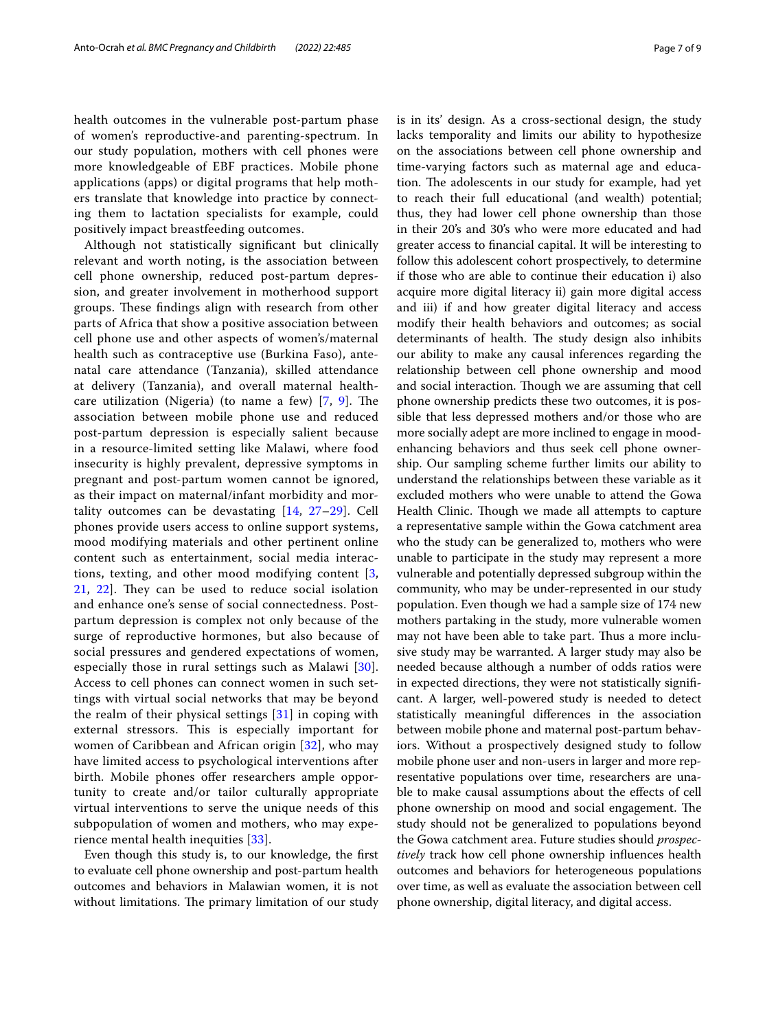health outcomes in the vulnerable post-partum phase of women's reproductive-and parenting-spectrum. In our study population, mothers with cell phones were more knowledgeable of EBF practices. Mobile phone applications (apps) or digital programs that help mothers translate that knowledge into practice by connecting them to lactation specialists for example, could positively impact breastfeeding outcomes.

Although not statistically signifcant but clinically relevant and worth noting, is the association between cell phone ownership, reduced post-partum depression, and greater involvement in motherhood support groups. These findings align with research from other parts of Africa that show a positive association between cell phone use and other aspects of women's/maternal health such as contraceptive use (Burkina Faso), antenatal care attendance (Tanzania), skilled attendance at delivery (Tanzania), and overall maternal healthcare utilization (Nigeria) (to name a few)  $[7, 9]$  $[7, 9]$  $[7, 9]$  $[7, 9]$ . The association between mobile phone use and reduced post-partum depression is especially salient because in a resource-limited setting like Malawi, where food insecurity is highly prevalent, depressive symptoms in pregnant and post-partum women cannot be ignored, as their impact on maternal/infant morbidity and mortality outcomes can be devastating [[14,](#page-7-12) [27](#page-8-8)[–29](#page-8-9)]. Cell phones provide users access to online support systems, mood modifying materials and other pertinent online content such as entertainment, social media interactions, texting, and other mood modifying content [\[3](#page-7-2), [21,](#page-8-2) [22](#page-8-3)]. They can be used to reduce social isolation and enhance one's sense of social connectedness. Postpartum depression is complex not only because of the surge of reproductive hormones, but also because of social pressures and gendered expectations of women, especially those in rural settings such as Malawi [[30\]](#page-8-10). Access to cell phones can connect women in such settings with virtual social networks that may be beyond the realm of their physical settings [[31](#page-8-11)] in coping with external stressors. This is especially important for women of Caribbean and African origin [[32\]](#page-8-12), who may have limited access to psychological interventions after birth. Mobile phones offer researchers ample opportunity to create and/or tailor culturally appropriate virtual interventions to serve the unique needs of this subpopulation of women and mothers, who may experience mental health inequities [[33\]](#page-8-13).

Even though this study is, to our knowledge, the frst to evaluate cell phone ownership and post-partum health outcomes and behaviors in Malawian women, it is not without limitations. The primary limitation of our study is in its' design. As a cross-sectional design, the study lacks temporality and limits our ability to hypothesize on the associations between cell phone ownership and time-varying factors such as maternal age and education. The adolescents in our study for example, had yet to reach their full educational (and wealth) potential; thus, they had lower cell phone ownership than those in their 20's and 30's who were more educated and had greater access to fnancial capital. It will be interesting to follow this adolescent cohort prospectively, to determine if those who are able to continue their education i) also acquire more digital literacy ii) gain more digital access and iii) if and how greater digital literacy and access modify their health behaviors and outcomes; as social determinants of health. The study design also inhibits our ability to make any causal inferences regarding the relationship between cell phone ownership and mood and social interaction. Though we are assuming that cell phone ownership predicts these two outcomes, it is possible that less depressed mothers and/or those who are more socially adept are more inclined to engage in moodenhancing behaviors and thus seek cell phone ownership. Our sampling scheme further limits our ability to understand the relationships between these variable as it excluded mothers who were unable to attend the Gowa Health Clinic. Though we made all attempts to capture a representative sample within the Gowa catchment area who the study can be generalized to, mothers who were unable to participate in the study may represent a more vulnerable and potentially depressed subgroup within the community, who may be under-represented in our study population. Even though we had a sample size of 174 new mothers partaking in the study, more vulnerable women may not have been able to take part. Thus a more inclusive study may be warranted. A larger study may also be needed because although a number of odds ratios were in expected directions, they were not statistically signifcant. A larger, well-powered study is needed to detect statistically meaningful diferences in the association between mobile phone and maternal post-partum behaviors. Without a prospectively designed study to follow mobile phone user and non-users in larger and more representative populations over time, researchers are unable to make causal assumptions about the efects of cell phone ownership on mood and social engagement. The study should not be generalized to populations beyond the Gowa catchment area. Future studies should *prospectively* track how cell phone ownership infuences health outcomes and behaviors for heterogeneous populations over time, as well as evaluate the association between cell phone ownership, digital literacy, and digital access.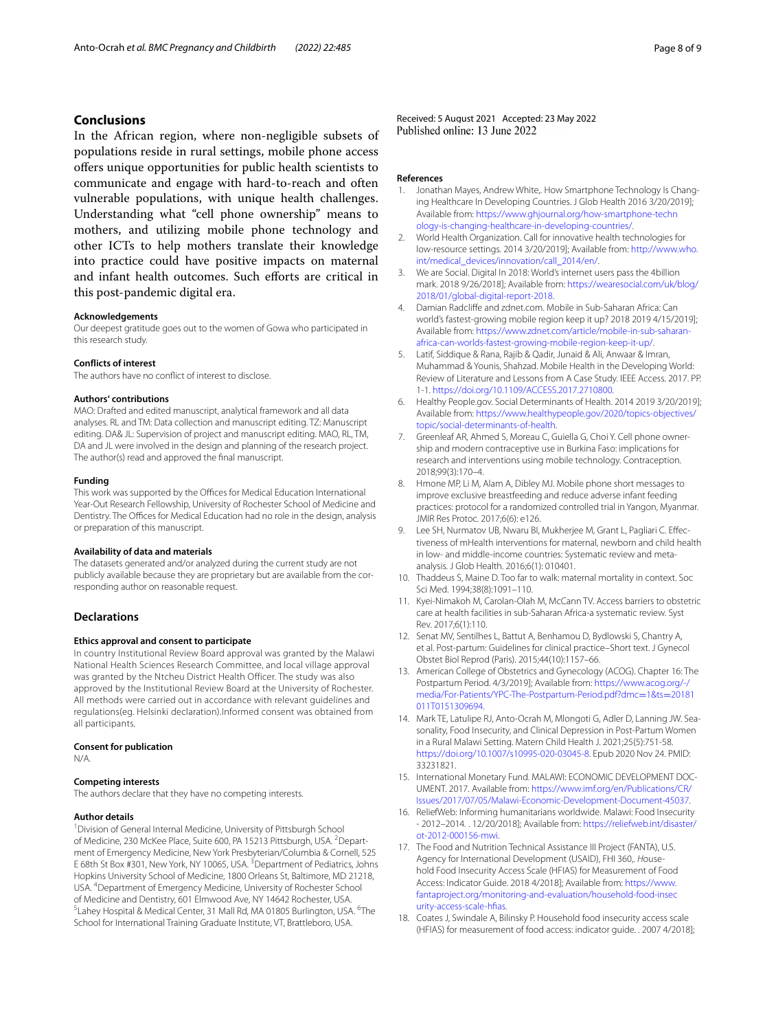# **Conclusions**

In the African region, where non-negligible subsets of populations reside in rural settings, mobile phone access ofers unique opportunities for public health scientists to communicate and engage with hard-to-reach and often vulnerable populations, with unique health challenges. Understanding what "cell phone ownership" means to mothers, and utilizing mobile phone technology and other ICTs to help mothers translate their knowledge into practice could have positive impacts on maternal and infant health outcomes. Such efforts are critical in this post-pandemic digital era.

#### **Acknowledgements**

Our deepest gratitude goes out to the women of Gowa who participated in this research study.

#### **Conflicts of interest**

The authors have no confict of interest to disclose.

#### **Authors' contributions**

MAO: Drafted and edited manuscript, analytical framework and all data analyses. RL and TM: Data collection and manuscript editing. TZ: Manuscript editing. DA& JL: Supervision of project and manuscript editing. MAO, RL, TM, DA and JL were involved in the design and planning of the research project. The author(s) read and approved the fnal manuscript.

#### **Funding**

This work was supported by the Offices for Medical Education International Year-Out Research Fellowship, University of Rochester School of Medicine and Dentistry. The Offices for Medical Education had no role in the design, analysis or preparation of this manuscript.

#### **Availability of data and materials**

The datasets generated and/or analyzed during the current study are not publicly available because they are proprietary but are available from the corresponding author on reasonable request.

# **Declarations**

#### **Ethics approval and consent to participate**

In country Institutional Review Board approval was granted by the Malawi National Health Sciences Research Committee, and local village approval was granted by the Ntcheu District Health Officer. The study was also approved by the Institutional Review Board at the University of Rochester. All methods were carried out in accordance with relevant guidelines and regulations(eg. Helsinki declaration).Informed consent was obtained from all participants.

#### **Consent for publication**

N/A.

#### **Competing interests**

The authors declare that they have no competing interests.

#### **Author details**

<sup>1</sup> Division of General Internal Medicine, University of Pittsburgh School of Medicine, 230 McKee Place, Suite 600, PA 15213 Pittsburgh, USA. <sup>2</sup> Department of Emergency Medicine, New York Presbyterian/Columbia & Cornell, 525 E 68th St Box #301, New York, NY 10065, USA. <sup>3</sup> Department of Pediatrics, Johns Hopkins University School of Medicine, 1800 Orleans St, Baltimore, MD 21218, USA. 4 Department of Emergency Medicine, University of Rochester School of Medicine and Dentistry, 601 Elmwood Ave, NY 14642 Rochester, USA. Lahey Hospital & Medical Center, 31 Mall Rd, MA 01805 Burlington, USA. <sup>6</sup>The School for International Training Graduate Institute, VT, Brattleboro, USA.

Received: 5 August 2021 Accepted: 23 May 2022<br>Published online: 13 June 2022

#### **References**

- <span id="page-7-0"></span>Jonathan Mayes, Andrew White,. How Smartphone Technology Is Changing Healthcare In Developing Countries. J Glob Health 2016 3/20/2019]; Available from: [https://www.ghjournal.org/how-smartphone-techn](https://www.ghjournal.org/how-smartphone-technology-is-changing-healthcare-in-developing-countries/) [ology-is-changing-healthcare-in-developing-countries/](https://www.ghjournal.org/how-smartphone-technology-is-changing-healthcare-in-developing-countries/).
- <span id="page-7-1"></span>2. World Health Organization. Call for innovative health technologies for low-resource settings. 2014 3/20/2019]; Available from: [http://www.who.](http://www.who.int/medical_devices/innovation/call_2014/en/) [int/medical\\_devices/innovation/call\\_2014/en/](http://www.who.int/medical_devices/innovation/call_2014/en/).
- <span id="page-7-2"></span>3. We are Social. Digital In 2018: World's internet users pass the 4billion mark. 2018 9/26/2018]; Available from: [https://wearesocial.com/uk/blog/](https://wearesocial.com/uk/blog/2018/01/global-digital-report-2018) [2018/01/global-digital-report-2018](https://wearesocial.com/uk/blog/2018/01/global-digital-report-2018).
- <span id="page-7-3"></span>4. Damian Radclife and zdnet.com. Mobile in Sub-Saharan Africa: Can world's fastest-growing mobile region keep it up? 2018 2019 4/15/2019]; Available from: [https://www.zdnet.com/article/mobile-in-sub-saharan](https://www.zdnet.com/article/mobile-in-sub-saharan-africa-can-worlds-fastest-growing-mobile-region-keep-it-up/) [africa-can-worlds-fastest-growing-mobile-region-keep-it-up/](https://www.zdnet.com/article/mobile-in-sub-saharan-africa-can-worlds-fastest-growing-mobile-region-keep-it-up/).
- <span id="page-7-4"></span>5. Latif, Siddique & Rana, Rajib & Qadir, Junaid & Ali, Anwaar & Imran, Muhammad & Younis, Shahzad. Mobile Health in the Developing World: Review of Literature and Lessons from A Case Study. IEEE Access. 2017. PP. 1-1.<https://doi.org/10.1109/ACCESS.2017.2710800>.
- <span id="page-7-5"></span>6. Healthy People.gov. Social Determinants of Health. 2014 2019 3/20/2019]; Available from: [https://www.healthypeople.gov/2020/topics-objectives/](https://www.healthypeople.gov/2020/topics-objectives/topic/social-determinants-of-health) [topic/social-determinants-of-health](https://www.healthypeople.gov/2020/topics-objectives/topic/social-determinants-of-health).
- <span id="page-7-6"></span>7. Greenleaf AR, Ahmed S, Moreau C, Guiella G, Choi Y. Cell phone ownership and modern contraceptive use in Burkina Faso: implications for research and interventions using mobile technology. Contraception. 2018;99(3):170–4.
- <span id="page-7-16"></span>8. Hmone MP, Li M, Alam A, Dibley MJ. Mobile phone short messages to improve exclusive breastfeeding and reduce adverse infant feeding practices: protocol for a randomized controlled trial in Yangon, Myanmar. JMIR Res Protoc. 2017;6(6): e126.
- <span id="page-7-7"></span>9. Lee SH, Nurmatov UB, Nwaru BI, Mukherjee M, Grant L, Pagliari C. Effectiveness of mHealth interventions for maternal, newborn and child health in low- and middle-income countries: Systematic review and metaanalysis. J Glob Health. 2016;6(1): 010401.
- <span id="page-7-8"></span>10. Thaddeus S, Maine D. Too far to walk: maternal mortality in context. Soc Sci Med. 1994;38(8):1091–110.
- <span id="page-7-9"></span>11. Kyei-Nimakoh M, Carolan-Olah M, McCann TV. Access barriers to obstetric care at health facilities in sub-Saharan Africa-a systematic review. Syst Rev. 2017;6(1):110.
- <span id="page-7-10"></span>12. Senat MV, Sentilhes L, Battut A, Benhamou D, Bydlowski S, Chantry A, et al. Post-partum: Guidelines for clinical practice–Short text. J Gynecol Obstet Biol Reprod (Paris). 2015;44(10):1157–66.
- <span id="page-7-11"></span>13. American College of Obstetrics and Gynecology (ACOG). Chapter 16: The Postpartum Period. 4/3/2019]; Available from: [https://www.acog.org/-/](https://www.acog.org/-/media/For-Patients/YPC-The-Postpartum-Period.pdf?dmc=1&ts=20181011T0151309694) [media/For-Patients/YPC-The-Postpartum-Period.pdf?dmc](https://www.acog.org/-/media/For-Patients/YPC-The-Postpartum-Period.pdf?dmc=1&ts=20181011T0151309694)=1&ts=20181 [011T0151309694.](https://www.acog.org/-/media/For-Patients/YPC-The-Postpartum-Period.pdf?dmc=1&ts=20181011T0151309694)
- <span id="page-7-12"></span>14. Mark TE, Latulipe RJ, Anto-Ocrah M, Mlongoti G, Adler D, Lanning JW. Seasonality, Food Insecurity, and Clinical Depression in Post-Partum Women in a Rural Malawi Setting. Matern Child Health J. 2021;25(5):751-58. <https://doi.org/10.1007/s10995-020-03045-8>. Epub 2020 Nov 24. PMID: 33231821.
- 15. International Monetary Fund. MALAWI: ECONOMIC DEVELOPMENT DOC-UMENT. 2017. Available from: [https://www.imf.org/en/Publications/CR/](https://www.imf.org/en/Publications/CR/Issues/2017/07/05/Malawi-Economic-Development-Document-45037) [Issues/2017/07/05/Malawi-Economic-Development-Document-45037](https://www.imf.org/en/Publications/CR/Issues/2017/07/05/Malawi-Economic-Development-Document-45037).
- <span id="page-7-13"></span>16. ReliefWeb: Informing humanitarians worldwide. Malawi: Food Insecurity - 2012–2014*.* . 12/20/2018]; Available from: [https://reliefweb.int/disaster/](https://reliefweb.int/disaster/ot-2012-000156-mwi) [ot-2012-000156-mwi](https://reliefweb.int/disaster/ot-2012-000156-mwi).
- <span id="page-7-14"></span>17. The Food and Nutrition Technical Assistance III Project (FANTA), U.S. Agency for International Development (USAID), FHI 360,. Household Food Insecurity Access Scale (HFIAS) for Measurement of Food Access: Indicator Guide. 2018 4/2018]; Available from: [https://www.](https://www.fantaproject.org/monitoring-and-evaluation/household-food-insecurity-access-scale-hfias) [fantaproject.org/monitoring-and-evaluation/household-food-insec](https://www.fantaproject.org/monitoring-and-evaluation/household-food-insecurity-access-scale-hfias) [urity-access-scale-hfas](https://www.fantaproject.org/monitoring-and-evaluation/household-food-insecurity-access-scale-hfias).
- <span id="page-7-15"></span>18. Coates J, Swindale A, Bilinsky P. Household food insecurity access scale (HFIAS) for measurement of food access: indicator guide. . 2007 4/2018];